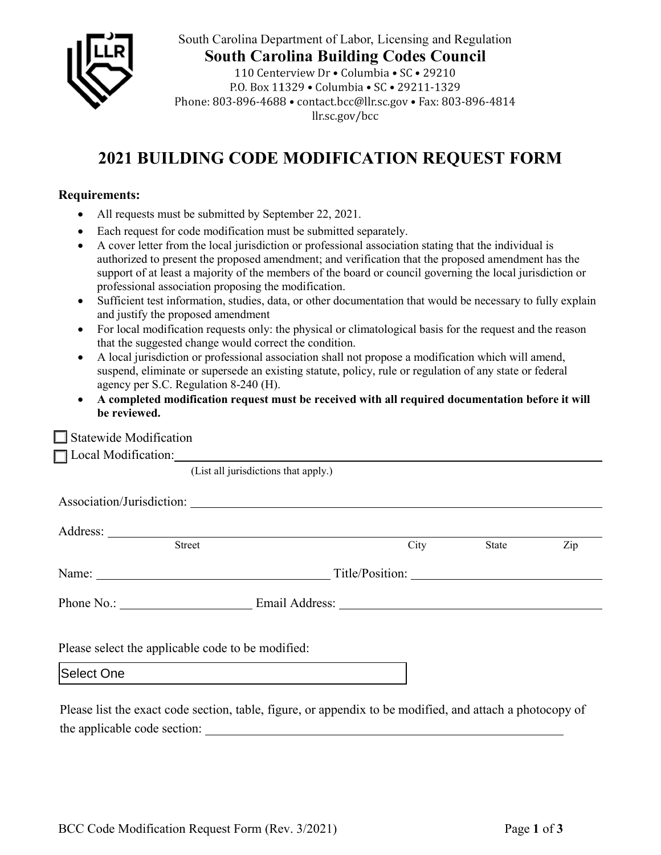

South Carolina Department of Labor, Licensing and Regulation **South Carolina Building Codes Council** 110 Centerview Dr · Columbia · SC · 29210

P.O. Box 11329 . Columbia . SC . 29211-1329 Phone: 803-896-4688 • contact.bcc@llr.sc.gov • Fax: 803-896-4814 llr.sc.gov/bcc

## **2021 BUILDING CODE MODIFICATION REQUEST FORM**

## **Requirements:**

- All requests must be submitted by September 22, 2021.
- Each request for code modification must be submitted separately.
- A cover letter from the local jurisdiction or professional association stating that the individual is authorized to present the proposed amendment; and verification that the proposed amendment has the support of at least a majority of the members of the board or council governing the local jurisdiction or professional association proposing the modification.
- Sufficient test information, studies, data, or other documentation that would be necessary to fully explain and justify the proposed amendment
- For local modification requests only: the physical or climatological basis for the request and the reason that the suggested change would correct the condition.
- A local jurisdiction or professional association shall not propose a modification which will amend, suspend, eliminate or supersede an existing statute, policy, rule or regulation of any state or federal agency per S.C. Regulation 8-240 (H).
- **A completed modification request must be received with all required documentation before it will be reviewed.**

| $\Box$ Statewide Modification                                                                            |                                      |  |      |       |     |  |  |
|----------------------------------------------------------------------------------------------------------|--------------------------------------|--|------|-------|-----|--|--|
| □ Local Modification: <u>● Parameters Andreased</u> Local Modification:                                  |                                      |  |      |       |     |  |  |
|                                                                                                          | (List all jurisdictions that apply.) |  |      |       |     |  |  |
| Association/Jurisdiction:                                                                                |                                      |  |      |       |     |  |  |
|                                                                                                          |                                      |  |      |       |     |  |  |
| Street                                                                                                   |                                      |  | City | State | Zip |  |  |
|                                                                                                          |                                      |  |      |       |     |  |  |
|                                                                                                          |                                      |  |      |       |     |  |  |
|                                                                                                          |                                      |  |      |       |     |  |  |
| Please select the applicable code to be modified:                                                        |                                      |  |      |       |     |  |  |
| Select One                                                                                               |                                      |  |      |       |     |  |  |
| Please list the exact code section, table, figure, or appendix to be modified, and attach a photocopy of |                                      |  |      |       |     |  |  |

the applicable code section: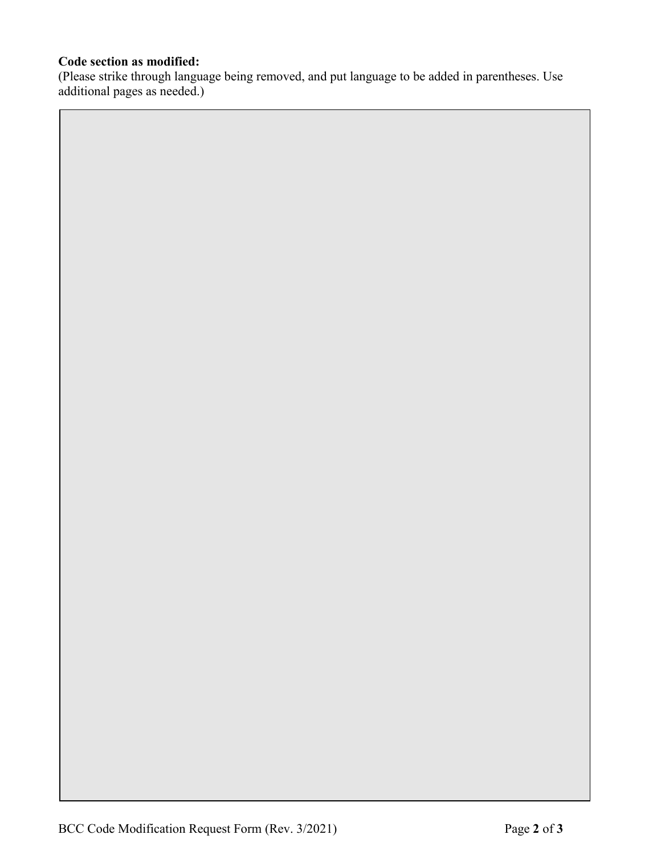## **Code section as modified:**

(Please strike through language being removed, and put language to be added in parentheses. Use additional pages as needed.)